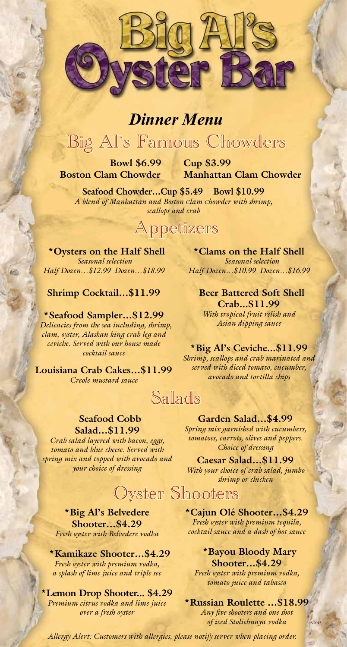

## *Dinner Menu*

# Big Al`s Famous Chowders

 **Bowl \$6.99 Cup \$3.99** 

 **Boston Clam Chowder Manhattan Clam Chowder** 

**Seafood Chowder…Cup \$5.49 Bowl \$10.99** *A blend of Manhattan and Boston clam chowder with shrimp, scallops and crab*

## Appetizers

 **\*Oysters on the Half Shell**  *Seasonal selection Half Dozen…\$12.99 Dozen…\$18.99* 

#### **Shrimp Cocktail…\$11.99**

**\*Seafood Sampler…\$12.99**  *Delicacies from the sea including, shrimp, clam, oyster, Alaskan king crab leg and ceviche. Served with our house made cocktail sauce* 

**Louisiana Crab Cakes…\$11.99** *Creole mustard sauce*

**\*Clams on the Half Shell**  *Seasonal selection Half Dozen…\$10.99 Dozen…\$16.99* 

 **Beer Battered Soft Shell Crab...\$11.99**  *With tropical fruit relish and Asian dipping sauce* 

### **\*Big Al's Ceviche...\$11.99**

*Shrimp, scallops and crab marinated and served with diced tomato, cucumber, avocado and tortilla chips*

## Salads

### **Seafood Cobb**

**Salad…\$11.99**  *Crab salad layered with bacon, eggs, tomato and blue cheese. Served with spring mix and topped with avocado and your choice of dressing*

**Garden Salad…\$4.99**  *Spring mix garnished with cucumbers, tomatoes, carrots, olives and peppers. Choice of dressing*

**Caesar Salad…\$11.99** *With your choice of crab salad, jumbo shrimp or chicken*

Oyster Shooters

**\*Big Al's Belvedere Shooter…\$4.29** *Fresh oyster with Belvedere vodka* 

 **\*Kamikaze Shooter…\$4.29**  *Fresh oyster with premium vodka, a splash of lime juice and triple sec* 

**\*Lemon Drop Shooter... \$4.29** *Premium citrus vodka and lime juice over a fresh oyster*

**\*Cajun Olé Shooter…\$4.29** *Fresh oyster with premium tequila, cocktail sauce and a dash of hot sauce*

 **\*Bayou Bloody Mary Shooter…\$4.29** *Fresh oyster with premium vodka, tomato juice and tabasco* 

#### **\*Russian Roulette …\$18.99**

*Any five shooters and one shot*  $of$  *iced Stolichnaya vodka* 

*Allergy Alert: Customers with allergies, please notify server when placing order.*